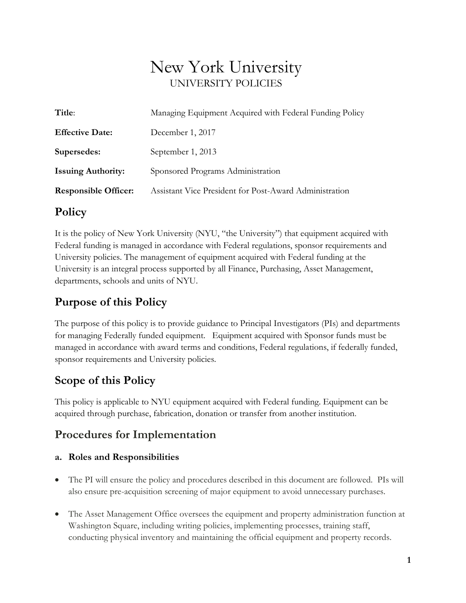# New York University UNIVERSITY POLICIES

| Managing Equipment Acquired with Federal Funding Policy |
|---------------------------------------------------------|
| December 1, 2017                                        |
| September 1, 2013                                       |
| Sponsored Programs Administration                       |
| Assistant Vice President for Post-Award Administration  |
|                                                         |

### **Policy**

It is the policy of New York University (NYU, "the University") that equipment acquired with Federal funding is managed in accordance with Federal regulations, sponsor requirements and University policies. The management of equipment acquired with Federal funding at the University is an integral process supported by all Finance, Purchasing, Asset Management, departments, schools and units of NYU.

### **Purpose of this Policy**

The purpose of this policy is to provide guidance to Principal Investigators (PIs) and departments for managing Federally funded equipment. Equipment acquired with Sponsor funds must be managed in accordance with award terms and conditions, Federal regulations, if federally funded, sponsor requirements and University policies.

## **Scope of this Policy**

This policy is applicable to NYU equipment acquired with Federal funding. Equipment can be acquired through purchase, fabrication, donation or transfer from another institution.

### **Procedures for Implementation**

#### **a. Roles and Responsibilities**

- The PI will ensure the policy and procedures described in this document are followed. PIs will also ensure pre-acquisition screening of major equipment to avoid unnecessary purchases.
- The Asset Management Office oversees the equipment and property administration function at Washington Square, including writing policies, implementing processes, training staff, conducting physical inventory and maintaining the official equipment and property records.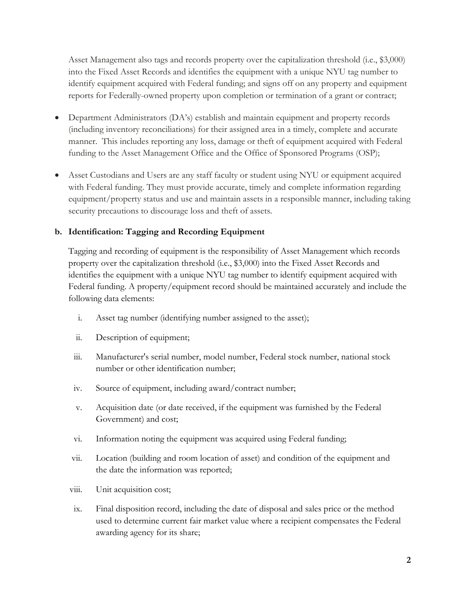Asset Management also tags and records property over the capitalization threshold (i.e., \$3,000) into the Fixed Asset Records and identifies the equipment with a unique NYU tag number to identify equipment acquired with Federal funding; and signs off on any property and equipment reports for Federally-owned property upon completion or termination of a grant or contract;

- Department Administrators (DA's) establish and maintain equipment and property records (including inventory reconciliations) for their assigned area in a timely, complete and accurate manner. This includes reporting any loss, damage or theft of equipment acquired with Federal funding to the Asset Management Office and the Office of Sponsored Programs (OSP);
- Asset Custodians and Users are any staff faculty or student using NYU or equipment acquired with Federal funding. They must provide accurate, timely and complete information regarding equipment/property status and use and maintain assets in a responsible manner, including taking security precautions to discourage loss and theft of assets.

#### **b. Identification: Tagging and Recording Equipment**

Tagging and recording of equipment is the responsibility of Asset Management which records property over the capitalization threshold (i.e., \$3,000) into the Fixed Asset Records and identifies the equipment with a unique NYU tag number to identify equipment acquired with Federal funding. A property/equipment record should be maintained accurately and include the following data elements:

- i. Asset tag number (identifying number assigned to the asset);
- ii. Description of equipment;
- iii. Manufacturer's serial number, model number, Federal stock number, national stock number or other identification number;
- iv. Source of equipment, including award/contract number;
- v. Acquisition date (or date received, if the equipment was furnished by the Federal Government) and cost;
- vi. Information noting the equipment was acquired using Federal funding;
- vii. Location (building and room location of asset) and condition of the equipment and the date the information was reported;
- viii. Unit acquisition cost;
- ix. Final disposition record, including the date of disposal and sales price or the method used to determine current fair market value where a recipient compensates the Federal awarding agency for its share;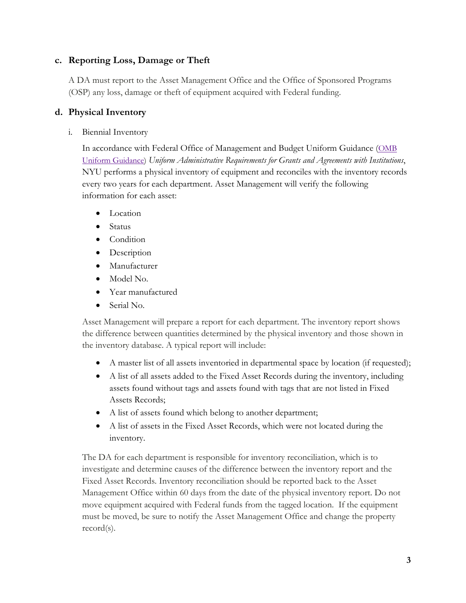#### **c. Reporting Loss, Damage or Theft**

A DA must report to the Asset Management Office and the Office of Sponsored Programs (OSP) any loss, damage or theft of equipment acquired with Federal funding.

#### **d. Physical Inventory**

i. Biennial Inventory

In accordance with [Federal Office of Management and Budget U](http://www.whitehouse.gov/omb/circulars/a021/a21_2004.html)niform Guidance [\(OMB](http://www.ecfr.gov/cgi-bin/text-idx?tpl=/ecfrbrowse/Title02/2cfr200_main_02.tpl)  [Uniform Guidance\)](http://www.ecfr.gov/cgi-bin/text-idx?tpl=/ecfrbrowse/Title02/2cfr200_main_02.tpl) *Uniform Administrative Requirements for Grants and Agreements with Institutions*, NYU performs a physical inventory of equipment and reconciles with the inventory records every two years for each department. Asset Management will verify the following information for each asset:

- Location
- Status
- Condition
- Description
- Manufacturer
- Model No.
- Year manufactured
- Serial No.

Asset Management will prepare a report for each department. The inventory report shows the difference between quantities determined by the physical inventory and those shown in the inventory database. A typical report will include:

- A master list of all assets inventoried in departmental space by location (if requested);
- A list of all assets added to the Fixed Asset Records during the inventory, including assets found without tags and assets found with tags that are not listed in Fixed Assets Records;
- A list of assets found which belong to another department;
- A list of assets in the Fixed Asset Records, which were not located during the inventory.

The DA for each department is responsible for inventory reconciliation, which is to investigate and determine causes of the difference between the inventory report and the Fixed Asset Records. Inventory reconciliation should be reported back to the Asset Management Office within 60 days from the date of the physical inventory report. Do not move equipment acquired with Federal funds from the tagged location. If the equipment must be moved, be sure to notify the Asset Management Office and change the property record(s).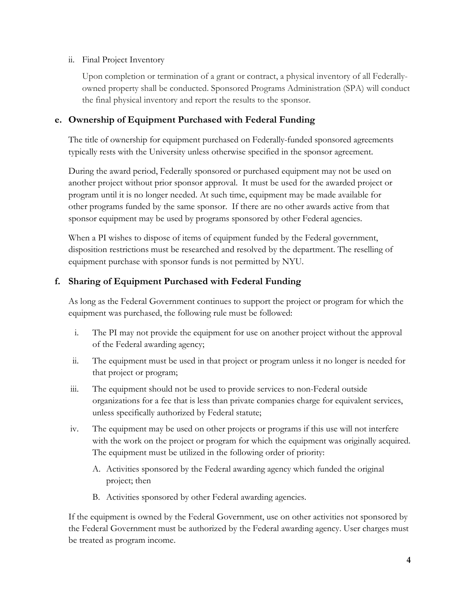#### ii. Final Project Inventory

Upon completion or termination of a grant or contract, a physical inventory of all Federallyowned property shall be conducted. Sponsored Programs Administration (SPA) will conduct the final physical inventory and report the results to the sponsor.

#### **e. Ownership of Equipment Purchased with Federal Funding**

The title of ownership for equipment purchased on Federally-funded sponsored agreements typically rests with the University unless otherwise specified in the sponsor agreement.

During the award period, Federally sponsored or purchased equipment may not be used on another project without prior sponsor approval. It must be used for the awarded project or program until it is no longer needed. At such time, equipment may be made available for other programs funded by the same sponsor. If there are no other awards active from that sponsor equipment may be used by programs sponsored by other Federal agencies.

When a PI wishes to dispose of items of equipment funded by the Federal government, disposition restrictions must be researched and resolved by the department. The reselling of equipment purchase with sponsor funds is not permitted by NYU.

#### **f. Sharing of Equipment Purchased with Federal Funding**

As long as the Federal Government continues to support the project or program for which the equipment was purchased, the following rule must be followed:

- i. The PI may not provide the equipment for use on another project without the approval of the Federal awarding agency;
- ii. The equipment must be used in that project or program unless it no longer is needed for that project or program;
- iii. The equipment should not be used to provide services to non-Federal outside organizations for a fee that is less than private companies charge for equivalent services, unless specifically authorized by Federal statute;
- iv. The equipment may be used on other projects or programs if this use will not interfere with the work on the project or program for which the equipment was originally acquired. The equipment must be utilized in the following order of priority:
	- A. Activities sponsored by the Federal awarding agency which funded the original project; then
	- B. Activities sponsored by other Federal awarding agencies.

If the equipment is owned by the Federal Government, use on other activities not sponsored by the Federal Government must be authorized by the Federal awarding agency. User charges must be treated as program income.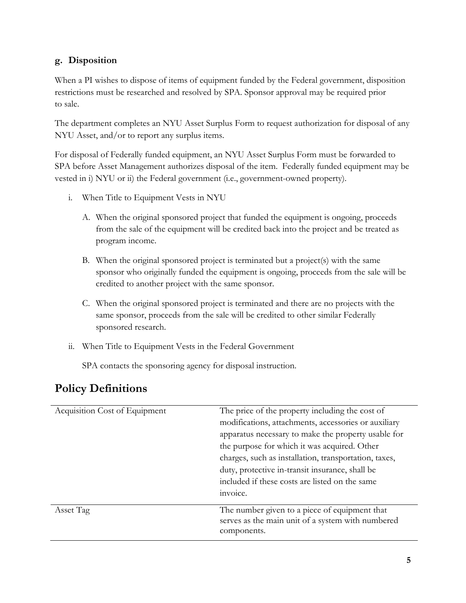#### **g. Disposition**

When a PI wishes to dispose of items of equipment funded by the Federal government, disposition restrictions must be researched and resolved by SPA. Sponsor approval may be required prior to sale.

The department completes an NYU Asset Surplus Form to request authorization for disposal of any NYU Asset, and/or to report any surplus items.

For disposal of Federally funded equipment, an NYU Asset Surplus Form must be forwarded to SPA before Asset Management authorizes disposal of the item. Federally funded equipment may be vested in i) NYU or ii) the Federal government (i.e., government-owned property).

- i. When Title to Equipment Vests in NYU
	- A. When the original sponsored project that funded the equipment is ongoing, proceeds from the sale of the equipment will be credited back into the project and be treated as program income.
	- B. When the original sponsored project is terminated but a project(s) with the same sponsor who originally funded the equipment is ongoing, proceeds from the sale will be credited to another project with the same sponsor.
	- C. When the original sponsored project is terminated and there are no projects with the same sponsor, proceeds from the sale will be credited to other similar Federally sponsored research.
- ii. When Title to Equipment Vests in the Federal Government

SPA contacts the sponsoring agency for disposal instruction.

| Acquisition Cost of Equipment | The price of the property including the cost of<br>modifications, attachments, accessories or auxiliary<br>apparatus necessary to make the property usable for<br>the purpose for which it was acquired. Other<br>charges, such as installation, transportation, taxes,<br>duty, protective in-transit insurance, shall be<br>included if these costs are listed on the same<br>invoice. |
|-------------------------------|------------------------------------------------------------------------------------------------------------------------------------------------------------------------------------------------------------------------------------------------------------------------------------------------------------------------------------------------------------------------------------------|
| Asset Tag                     | The number given to a piece of equipment that<br>serves as the main unit of a system with numbered<br>components.                                                                                                                                                                                                                                                                        |

### **Policy Definitions**